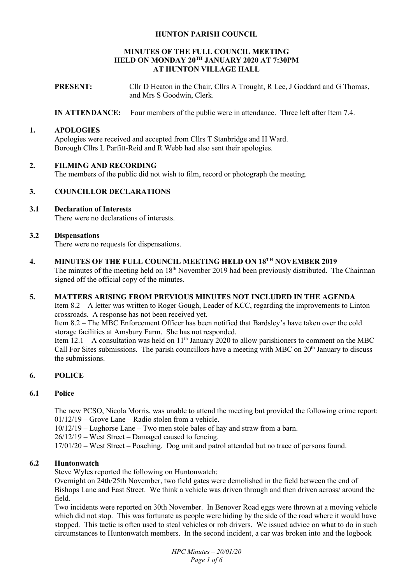## **HUNTON PARISH COUNCIL**

#### **MINUTES OF THE FULL COUNCIL MEETING HELD ON MONDAY 20TH JANUARY 2020 AT 7:30PM AT HUNTON VILLAGE HALL**

**PRESENT:** Cllr D Heaton in the Chair, Cllrs A Trought, R Lee, J Goddard and G Thomas, and Mrs S Goodwin, Clerk.

**IN ATTENDANCE:** Four members of the public were in attendance. Three left after Item 7.4.

### **1. APOLOGIES**

Apologies were received and accepted from Cllrs T Stanbridge and H Ward. Borough Cllrs L Parfitt-Reid and R Webb had also sent their apologies.

## **2. FILMING AND RECORDING**

The members of the public did not wish to film, record or photograph the meeting.

## **3. COUNCILLOR DECLARATIONS**

# **3.1 Declaration of Interests**

There were no declarations of interests.

#### **3.2 Dispensations**

There were no requests for dispensations.

# **4. MINUTES OF THE FULL COUNCIL MEETING HELD ON 18TH NOVEMBER 2019**

The minutes of the meeting held on 18<sup>th</sup> November 2019 had been previously distributed. The Chairman signed off the official copy of the minutes.

#### **5. MATTERS ARISING FROM PREVIOUS MINUTES NOT INCLUDED IN THE AGENDA**

Item 8.2 – A letter was written to Roger Gough, Leader of KCC, regarding the improvements to Linton crossroads. A response has not been received yet.

Item 8.2 – The MBC Enforcement Officer has been notified that Bardsley's have taken over the cold storage facilities at Amsbury Farm. She has not responded.

Item 12.1 – A consultation was held on  $11<sup>th</sup>$  January 2020 to allow parishioners to comment on the MBC Call For Sites submissions. The parish councillors have a meeting with MBC on  $20<sup>th</sup>$  January to discuss the submissions.

# **6. POLICE**

#### **6.1 Police**

The new PCSO, Nicola Morris, was unable to attend the meeting but provided the following crime report: 01/12/19 – Grove Lane – Radio stolen from a vehicle.

10/12/19 – Lughorse Lane – Two men stole bales of hay and straw from a barn.

26/12/19 – West Street – Damaged caused to fencing.

17/01/20 – West Street – Poaching. Dog unit and patrol attended but no trace of persons found.

## **6.2 Huntonwatch**

Steve Wyles reported the following on Huntonwatch:

Overnight on 24th/25th November, two field gates were demolished in the field between the end of Bishops Lane and East Street. We think a vehicle was driven through and then driven across/ around the field.

Two incidents were reported on 30th November. In Benover Road eggs were thrown at a moving vehicle which did not stop. This was fortunate as people were hiding by the side of the road where it would have stopped. This tactic is often used to steal vehicles or rob drivers. We issued advice on what to do in such circumstances to Huntonwatch members. In the second incident, a car was broken into and the logbook

> *HPC Minutes – 20/01/20 Page 1 of 6*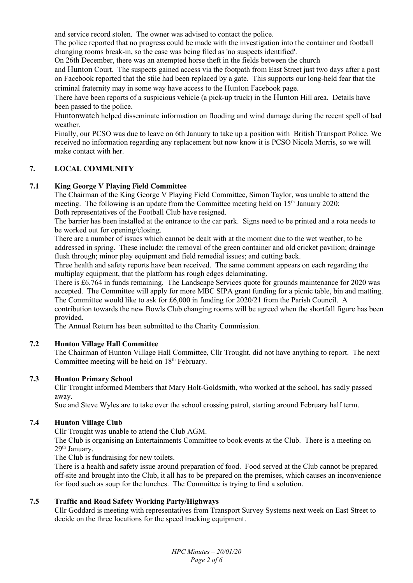and service record stolen. The owner was advised to contact the police.

The police reported that no progress could be made with the investigation into the container and football changing rooms break-in, so the case was being filed as 'no suspects identified'.

On 26th December, there was an attempted horse theft in the fields between the church

and Hunton Court. The suspects gained access via the footpath from East Street just two days after a post on Facebook reported that the stile had been replaced by a gate. This supports our long-held fear that the criminal fraternity may in some way have access to the Hunton Facebook page.

There have been reports of a suspicious vehicle (a pick-up truck) in the Hunton Hill area. Details have been passed to the police.

Huntonwatch helped disseminate information on flooding and wind damage during the recent spell of bad weather.

Finally, our PCSO was due to leave on 6th January to take up a position with British Transport Police. We received no information regarding any replacement but now know it is PCSO Nicola Morris, so we will make contact with her.

## **7. LOCAL COMMUNITY**

## **7.1 King George V Playing Field Committee**

The Chairman of the King George V Playing Field Committee, Simon Taylor, was unable to attend the meeting. The following is an update from the Committee meeting held on 15<sup>th</sup> January 2020: Both representatives of the Football Club have resigned.

The barrier has been installed at the entrance to the car park. Signs need to be printed and a rota needs to be worked out for opening/closing.

There are a number of issues which cannot be dealt with at the moment due to the wet weather, to be addressed in spring. These include: the removal of the green container and old cricket pavilion; drainage flush through; minor play equipment and field remedial issues; and cutting back.

Three health and safety reports have been received. The same comment appears on each regarding the multiplay equipment, that the platform has rough edges delaminating.

There is £6,764 in funds remaining. The Landscape Services quote for grounds maintenance for 2020 was accepted. The Committee will apply for more MBC SIPA grant funding for a picnic table, bin and matting. The Committee would like to ask for £6,000 in funding for 2020/21 from the Parish Council. A

contribution towards the new Bowls Club changing rooms will be agreed when the shortfall figure has been provided.

The Annual Return has been submitted to the Charity Commission.

# **7.2 Hunton Village Hall Committee**

The Chairman of Hunton Village Hall Committee, Cllr Trought, did not have anything to report. The next Committee meeting will be held on 18<sup>th</sup> February.

#### **7.3 Hunton Primary School**

Cllr Trought informed Members that Mary Holt-Goldsmith, who worked at the school, has sadly passed away.

Sue and Steve Wyles are to take over the school crossing patrol, starting around February half term.

# **7.4 Hunton Village Club**

Cllr Trought was unable to attend the Club AGM.

The Club is organising an Entertainments Committee to book events at the Club. There is a meeting on 29<sup>th</sup> January.

The Club is fundraising for new toilets.

There is a health and safety issue around preparation of food. Food served at the Club cannot be prepared off-site and brought into the Club, it all has to be prepared on the premises, which causes an inconvenience for food such as soup for the lunches. The Committee is trying to find a solution.

# **7.5 Traffic and Road Safety Working Party/Highways**

Cllr Goddard is meeting with representatives from Transport Survey Systems next week on East Street to decide on the three locations for the speed tracking equipment.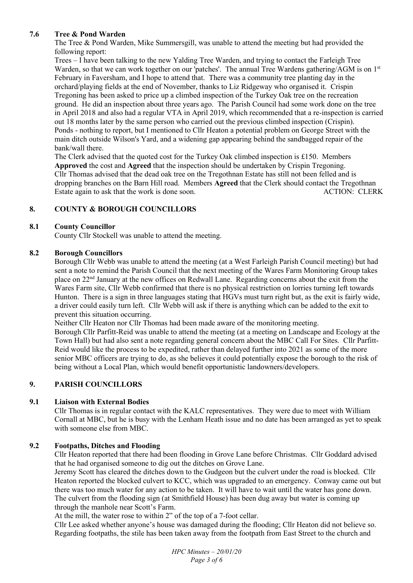# **7.6 Tree & Pond Warden**

The Tree & Pond Warden, Mike Summersgill, was unable to attend the meeting but had provided the following report:

Trees – I have been talking to the new Yalding Tree Warden, and trying to contact the Farleigh Tree Warden, so that we can work together on our 'patches'. The annual Tree Wardens gathering/AGM is on 1st February in Faversham, and I hope to attend that. There was a community tree planting day in the orchard/playing fields at the end of November, thanks to Liz Ridgeway who organised it. Crispin Tregoning has been asked to price up a climbed inspection of the Turkey Oak tree on the recreation ground. He did an inspection about three years ago. The Parish Council had some work done on the tree in April 2018 and also had a regular VTA in April 2019, which recommended that a re-inspection is carried out 18 months later by the same person who carried out the previous climbed inspection (Crispin). Ponds - nothing to report, but I mentioned to Cllr Heaton a potential problem on George Street with the main ditch outside Wilson's Yard, and a widening gap appearing behind the sandbagged repair of the bank/wall there.

The Clerk advised that the quoted cost for the Turkey Oak climbed inspection is £150. Members **Approved** the cost and **Agreed** that the inspection should be undertaken by Crispin Tregoning. Cllr Thomas advised that the dead oak tree on the Tregothnan Estate has still not been felled and is dropping branches on the Barn Hill road. Members **Agreed** that the Clerk should contact the Tregothnan Estate again to ask that the work is done soon. ACTION: CLERK

# **8. COUNTY & BOROUGH COUNCILLORS**

## **8.1 County Councillor**

County Cllr Stockell was unable to attend the meeting.

## **8.2 Borough Councillors**

Borough Cllr Webb was unable to attend the meeting (at a West Farleigh Parish Council meeting) but had sent a note to remind the Parish Council that the next meeting of the Wares Farm Monitoring Group takes place on 22nd January at the new offices on Redwall Lane. Regarding concerns about the exit from the Wares Farm site, Cllr Webb confirmed that there is no physical restriction on lorries turning left towards Hunton. There is a sign in three languages stating that HGVs must turn right but, as the exit is fairly wide, a driver could easily turn left. Cllr Webb will ask if there is anything which can be added to the exit to prevent this situation occurring.

Neither Cllr Heaton nor Cllr Thomas had been made aware of the monitoring meeting.

Borough Cllr Parfitt-Reid was unable to attend the meeting (at a meeting on Landscape and Ecology at the Town Hall) but had also sent a note regarding general concern about the MBC Call For Sites. Cllr Parfitt-Reid would like the process to be expedited, rather than delayed further into 2021 as some of the more senior MBC officers are trying to do, as she believes it could potentially expose the borough to the risk of being without a Local Plan, which would benefit opportunistic landowners/developers.

# **9. PARISH COUNCILLORS**

# **9.1 Liaison with External Bodies**

Cllr Thomas is in regular contact with the KALC representatives. They were due to meet with William Cornall at MBC, but he is busy with the Lenham Heath issue and no date has been arranged as yet to speak with someone else from MBC.

#### **9.2 Footpaths, Ditches and Flooding**

Cllr Heaton reported that there had been flooding in Grove Lane before Christmas. Cllr Goddard advised that he had organised someone to dig out the ditches on Grove Lane.

Jeremy Scott has cleared the ditches down to the Gudgeon but the culvert under the road is blocked. Cllr Heaton reported the blocked culvert to KCC, which was upgraded to an emergency. Conway came out but there was too much water for any action to be taken. It will have to wait until the water has gone down. The culvert from the flooding sign (at Smithfield House) has been dug away but water is coming up through the manhole near Scott's Farm.

At the mill, the water rose to within 2" of the top of a 7-foot cellar.

Cllr Lee asked whether anyone's house was damaged during the flooding; Cllr Heaton did not believe so. Regarding footpaths, the stile has been taken away from the footpath from East Street to the church and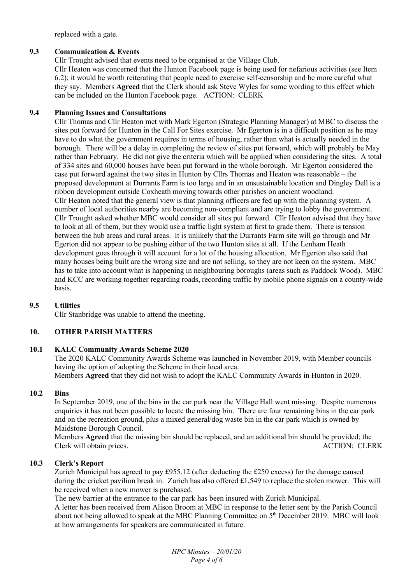replaced with a gate.

## **9.3 Communication & Events**

Cllr Trought advised that events need to be organised at the Village Club.

Cllr Heaton was concerned that the Hunton Facebook page is being used for nefarious activities (see Item 6.2); it would be worth reiterating that people need to exercise self-censorship and be more careful what they say. Members **Agreed** that the Clerk should ask Steve Wyles for some wording to this effect which can be included on the Hunton Facebook page. ACTION: CLERK

## **9.4 Planning Issues and Consultations**

Cllr Thomas and Cllr Heaton met with Mark Egerton (Strategic Planning Manager) at MBC to discuss the sites put forward for Hunton in the Call For Sites exercise. Mr Egerton is in a difficult position as he may have to do what the government requires in terms of housing, rather than what is actually needed in the borough. There will be a delay in completing the review of sites put forward, which will probably be May rather than February. He did not give the criteria which will be applied when considering the sites. A total of 334 sites and 60,000 houses have been put forward in the whole borough. Mr Egerton considered the case put forward against the two sites in Hunton by Cllrs Thomas and Heaton was reasonable – the proposed development at Durrants Farm is too large and in an unsustainable location and Dingley Dell is a ribbon development outside Coxheath moving towards other parishes on ancient woodland. Cllr Heaton noted that the general view is that planning officers are fed up with the planning system. A number of local authorities nearby are becoming non-compliant and are trying to lobby the government. Cllr Trought asked whether MBC would consider all sites put forward. Cllr Heaton advised that they have to look at all of them, but they would use a traffic light system at first to grade them. There is tension between the hub areas and rural areas. It is unlikely that the Durrants Farm site will go through and Mr Egerton did not appear to be pushing either of the two Hunton sites at all. If the Lenham Heath development goes through it will account for a lot of the housing allocation. Mr Egerton also said that many houses being built are the wrong size and are not selling, so they are not keen on the system. MBC has to take into account what is happening in neighbouring boroughs (areas such as Paddock Wood). MBC and KCC are working together regarding roads, recording traffic by mobile phone signals on a county-wide basis.

#### **9.5 Utilities**

Cllr Stanbridge was unable to attend the meeting.

# **10. OTHER PARISH MATTERS**

#### **10.1 KALC Community Awards Scheme 2020**

The 2020 KALC Community Awards Scheme was launched in November 2019, with Member councils having the option of adopting the Scheme in their local area. Members **Agreed** that they did not wish to adopt the KALC Community Awards in Hunton in 2020.

#### **10.2 Bins**

In September 2019, one of the bins in the car park near the Village Hall went missing. Despite numerous enquiries it has not been possible to locate the missing bin. There are four remaining bins in the car park and on the recreation ground, plus a mixed general/dog waste bin in the car park which is owned by Maidstone Borough Council.

Members **Agreed** that the missing bin should be replaced, and an additional bin should be provided; the Clerk will obtain prices. ACTION: CLERK

#### **10.3 Clerk's Report**

Zurich Municipal has agreed to pay £955.12 (after deducting the £250 excess) for the damage caused during the cricket pavilion break in. Zurich has also offered £1,549 to replace the stolen mower. This will be received when a new mower is purchased.

The new barrier at the entrance to the car park has been insured with Zurich Municipal.

A letter has been received from Alison Broom at MBC in response to the letter sent by the Parish Council about not being allowed to speak at the MBC Planning Committee on 5<sup>th</sup> December 2019. MBC will look at how arrangements for speakers are communicated in future.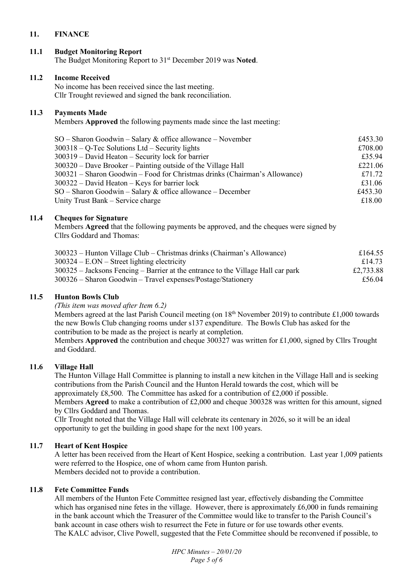# **11. FINANCE**

# **11.1 Budget Monitoring Report**

The Budget Monitoring Report to 31st December 2019 was **Noted**.

### **11.2 Income Received**

No income has been received since the last meeting. Cllr Trought reviewed and signed the bank reconciliation.

# **11.3 Payments Made**

Members **Approved** the following payments made since the last meeting:

| $SO -$ Sharon Goodwin - Salary & office allowance - November               | £453.30 |
|----------------------------------------------------------------------------|---------|
| $300318 - Q$ -Tec Solutions Ltd – Security lights                          | £708.00 |
| $300319$ – David Heaton – Security lock for barrier                        | £35.94  |
| $300320$ – Dave Brooker – Painting outside of the Village Hall             | £221.06 |
| 300321 – Sharon Goodwin – Food for Christmas drinks (Chairman's Allowance) | £71.72  |
| $300322 -$ David Heaton – Keys for barrier lock                            | £31.06  |
| $SO -$ Sharon Goodwin – Salary & office allowance – December               | £453.30 |
| Unity Trust Bank – Service charge                                          | £18.00  |
|                                                                            |         |

# **11.4 Cheques for Signature**

Members **Agreed** that the following payments be approved, and the cheques were signed by Cllrs Goddard and Thomas:

| 300323 – Hunton Village Club – Christmas drinks (Chairman's Allowance)           | £164.55   |
|----------------------------------------------------------------------------------|-----------|
| $300324 - E. ON - Street lighting electricity$                                   | £14.73    |
| 300325 – Jacksons Fencing – Barrier at the entrance to the Village Hall car park | £2,733.88 |
| $300326$ – Sharon Goodwin – Travel expenses/Postage/Stationery                   | £56.04    |

#### **11.5 Hunton Bowls Club**

 *(This item was moved after Item 6.2)* 

Members agreed at the last Parish Council meeting (on  $18<sup>th</sup>$  November 2019) to contribute £1,000 towards the new Bowls Club changing rooms under s137 expenditure. The Bowls Club has asked for the contribution to be made as the project is nearly at completion.

Members **Approved** the contribution and cheque 300327 was written for £1,000, signed by Cllrs Trought and Goddard.

# **11.6 Village Hall**

The Hunton Village Hall Committee is planning to install a new kitchen in the Village Hall and is seeking contributions from the Parish Council and the Hunton Herald towards the cost, which will be approximately £8,500. The Committee has asked for a contribution of £2,000 if possible.

Members **Agreed** to make a contribution of £2,000 and cheque 300328 was written for this amount, signed by Cllrs Goddard and Thomas.

Cllr Trought noted that the Village Hall will celebrate its centenary in 2026, so it will be an ideal opportunity to get the building in good shape for the next 100 years.

#### **11.7 Heart of Kent Hospice**

A letter has been received from the Heart of Kent Hospice, seeking a contribution. Last year 1,009 patients were referred to the Hospice, one of whom came from Hunton parish. Members decided not to provide a contribution.

## **11.8 Fete Committee Funds**

All members of the Hunton Fete Committee resigned last year, effectively disbanding the Committee which has organised nine fetes in the village. However, there is approximately £6,000 in funds remaining in the bank account which the Treasurer of the Committee would like to transfer to the Parish Council's bank account in case others wish to resurrect the Fete in future or for use towards other events. The KALC advisor, Clive Powell, suggested that the Fete Committee should be reconvened if possible, to